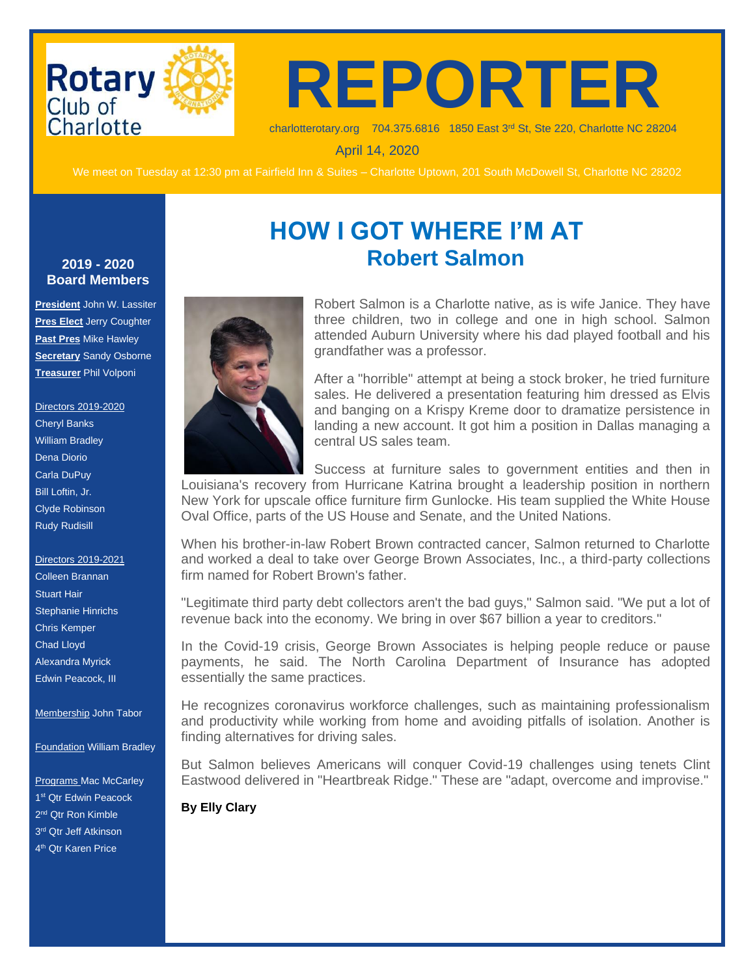

**REPORTER**

charlotterotary.org 704.375.6816 1850 East 3rd St, Ste 220, Charlotte NC 28204

April 14, 2020

We meet on Tuesday at 12:30 pm at Fairfield Inn & Suites – Charlotte Uptown, 201 South McDowell St, Charlotte NC 28202

**HOW I GOT WHERE I'M AT**

**Robert Salmon**

#### **2019 - 2020 Board Members**

**President** John W. Lassiter **Pres Elect** Jerry Coughter **Past Pres** Mike Hawley **Secretary** Sandy Osborne **Treasurer** Phil Volponi

Directors 2019-2020 Cheryl Banks William Bradley Dena Diorio Carla DuPuy Bill Loftin, Jr. Clyde Robinson Rudy Rudisill

Directors 2019-2021 Colleen Brannan Stuart Hair Stephanie Hinrichs Chris Kemper Chad Lloyd Alexandra Myrick Edwin Peacock, III

Membership John Tabor

**Foundation William Bradley** 

Programs Mac McCarley 1<sup>st</sup> Qtr Edwin Peacock 2<sup>nd</sup> Qtr Ron Kimble 3<sup>rd</sup> Qtr Jeff Atkinson 4<sup>th</sup> Qtr Karen Price



Robert Salmon is a Charlotte native, as is wife Janice. They have three children, two in college and one in high school. Salmon attended Auburn University where his dad played football and his grandfather was a professor.

After a "horrible" attempt at being a stock broker, he tried furniture sales. He delivered a presentation featuring him dressed as Elvis and banging on a Krispy Kreme door to dramatize persistence in landing a new account. It got him a position in Dallas managing a central US sales team.

Success at furniture sales to government entities and then in

Louisiana's recovery from Hurricane Katrina brought a leadership position in northern New York for upscale office furniture firm Gunlocke. His team supplied the White House Oval Office, parts of the US House and Senate, and the United Nations.

When his brother-in-law Robert Brown contracted cancer, Salmon returned to Charlotte and worked a deal to take over George Brown Associates, Inc., a third-party collections firm named for Robert Brown's father.

"Legitimate third party debt collectors aren't the bad guys," Salmon said. "We put a lot of revenue back into the economy. We bring in over \$67 billion a year to creditors."

In the Covid-19 crisis, George Brown Associates is helping people reduce or pause payments, he said. The North Carolina Department of Insurance has adopted essentially the same practices.

He recognizes coronavirus workforce challenges, such as maintaining professionalism and productivity while working from home and avoiding pitfalls of isolation. Another is finding alternatives for driving sales.

But Salmon believes Americans will conquer Covid-19 challenges using tenets Clint Eastwood delivered in "Heartbreak Ridge." These are "adapt, overcome and improvise."

**By Elly Clary**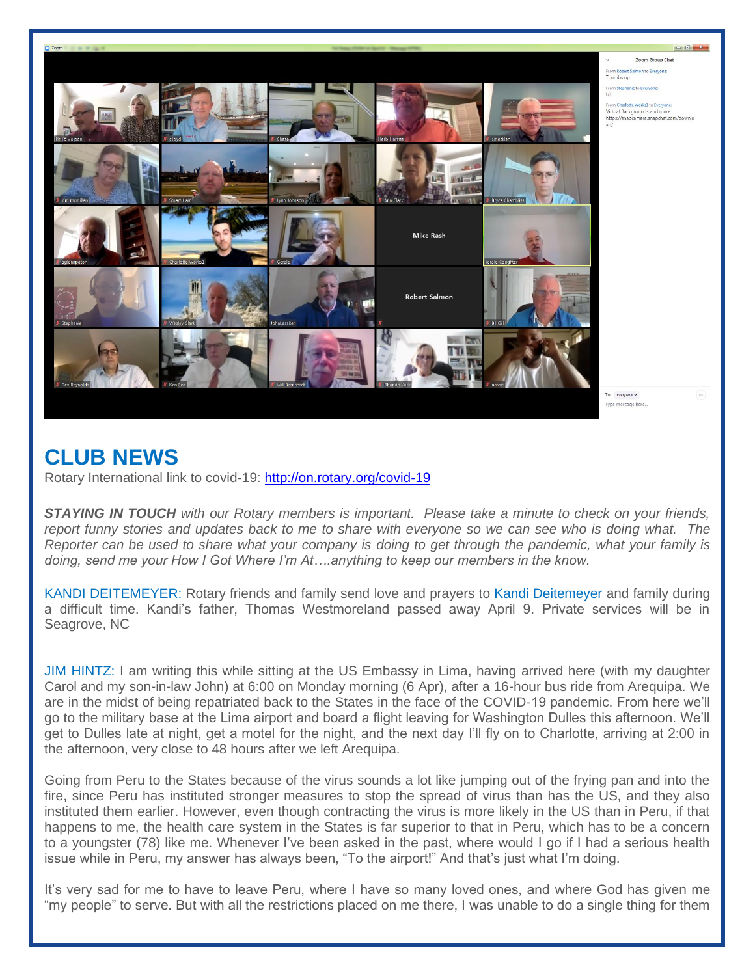

## **CLUB NEWS**

Rotary International link to covid-19:<http://on.rotary.org/covid-19>

*STAYING IN TOUCH with our Rotary members is important. Please take a minute to check on your friends, report funny stories and updates back to me to share with everyone so we can see who is doing what. The Reporter can be used to share what your company is doing to get through the pandemic, what your family is doing, send me your How I Got Where I'm At….anything to keep our members in the know.* 

KANDI DEITEMEYER: Rotary friends and family send love and prayers to Kandi Deitemeyer and family during a difficult time. Kandi's father, Thomas Westmoreland passed away April 9. Private services will be in Seagrove, NC

JIM HINTZ: I am writing this while sitting at the US Embassy in Lima, having arrived here (with my daughter Carol and my son-in-law John) at 6:00 on Monday morning (6 Apr), after a 16-hour bus ride from Arequipa. We are in the midst of being repatriated back to the States in the face of the COVID-19 pandemic. From here we'll go to the military base at the Lima airport and board a flight leaving for Washington Dulles this afternoon. We'll get to Dulles late at night, get a motel for the night, and the next day I'll fly on to Charlotte, arriving at 2:00 in the afternoon, very close to 48 hours after we left Arequipa.

Going from Peru to the States because of the virus sounds a lot like jumping out of the frying pan and into the fire, since Peru has instituted stronger measures to stop the spread of virus than has the US, and they also instituted them earlier. However, even though contracting the virus is more likely in the US than in Peru, if that happens to me, the health care system in the States is far superior to that in Peru, which has to be a concern to a youngster (78) like me. Whenever I've been asked in the past, where would I go if I had a serious health issue while in Peru, my answer has always been, "To the airport!" And that's just what I'm doing.

It's very sad for me to have to leave Peru, where I have so many loved ones, and where God has given me "my people" to serve. But with all the restrictions placed on me there, I was unable to do a single thing for them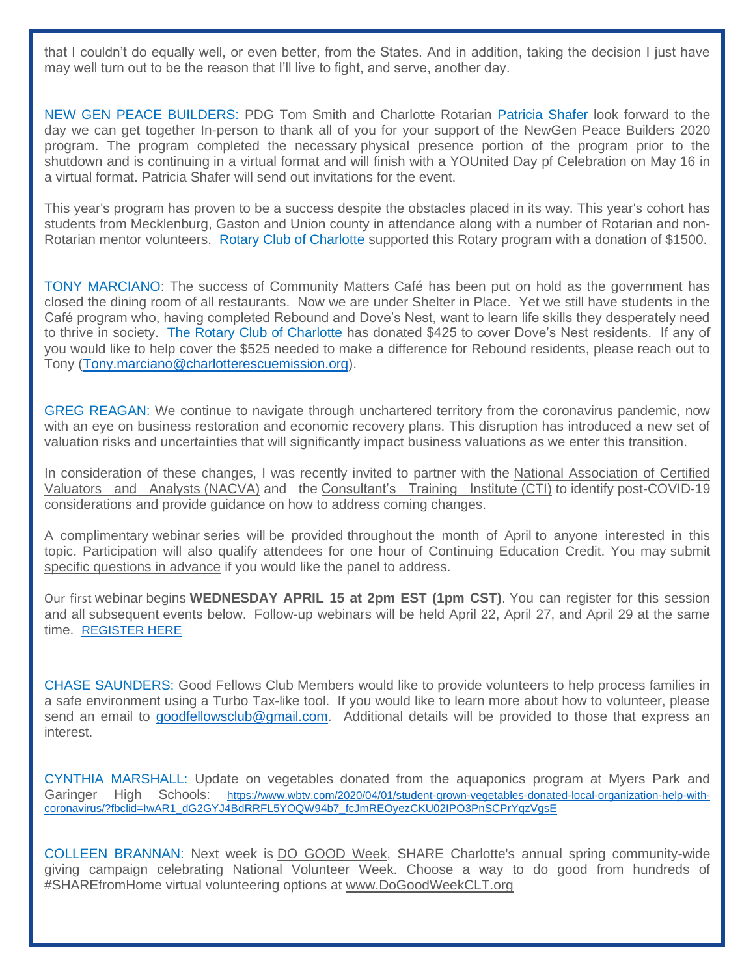that I couldn't do equally well, or even better, from the States. And in addition, taking the decision I just have may well turn out to be the reason that I'll live to fight, and serve, another day.

NEW GEN PEACE BUILDERS: PDG Tom Smith and Charlotte Rotarian Patricia Shafer look forward to the day we can get together In-person to thank all of you for your support of the NewGen Peace Builders 2020 program. The program completed the necessary physical presence portion of the program prior to the shutdown and is continuing in a virtual format and will finish with a YOUnited Day pf Celebration on May 16 in a virtual format. Patricia Shafer will send out invitations for the event.

This year's program has proven to be a success despite the obstacles placed in its way. This year's cohort has students from Mecklenburg, Gaston and Union county in attendance along with a number of Rotarian and non-Rotarian mentor volunteers. Rotary Club of Charlotte supported this Rotary program with a donation of \$1500.

TONY MARCIANO: The success of Community Matters Café has been put on hold as the government has closed the dining room of all restaurants. Now we are under Shelter in Place. Yet we still have students in the Café program who, having completed Rebound and Dove's Nest, want to learn life skills they desperately need to thrive in society. The Rotary Club of Charlotte has donated \$425 to cover Dove's Nest residents. If any of you would like to help cover the \$525 needed to make a difference for Rebound residents, please reach out to Tony [\(Tony.marciano@charlotterescuemission.org\)](mailto:Tony.marciano@charlotterescuemission.org).

GREG REAGAN: We continue to navigate through unchartered territory from the coronavirus pandemic, now with an eye on business restoration and economic recovery plans. This disruption has introduced a new set of valuation risks and uncertainties that will significantly impact business valuations as we enter this transition.

In consideration of these changes, I was recently invited to partner with the [National Association of Certified](https://urldefense.proofpoint.com/v2/url?u=https-3A__www.nacva.com_&d=DwMF-g&c=euGZstcaTDllvimEN8b7jXrwqOf-v5A_CdpgnVfiiMM&r=fwV7BlviaD5hAuXCw5LX56s4W-CdwN6MU1QN_ADijmw&m=5FER-lZ1_4-wQM5NjYJzx68PUzfTc2XtJ12HqXvn60Y&s=B78v-xrtrLSup1ruKa9fxafKkDgN6pCKOhN0hc9zaZA&e=)  [Valuators and Analysts](https://urldefense.proofpoint.com/v2/url?u=https-3A__www.nacva.com_&d=DwMF-g&c=euGZstcaTDllvimEN8b7jXrwqOf-v5A_CdpgnVfiiMM&r=fwV7BlviaD5hAuXCw5LX56s4W-CdwN6MU1QN_ADijmw&m=5FER-lZ1_4-wQM5NjYJzx68PUzfTc2XtJ12HqXvn60Y&s=B78v-xrtrLSup1ruKa9fxafKkDgN6pCKOhN0hc9zaZA&e=) (NACVA) and the [Consultant's Training Institute](https://urldefense.proofpoint.com/v2/url?u=http-3A__www.thecti.com_index.htm&d=DwMF-g&c=euGZstcaTDllvimEN8b7jXrwqOf-v5A_CdpgnVfiiMM&r=fwV7BlviaD5hAuXCw5LX56s4W-CdwN6MU1QN_ADijmw&m=5FER-lZ1_4-wQM5NjYJzx68PUzfTc2XtJ12HqXvn60Y&s=VPjqzY1qUw3mzgBy2z5lL6jj5D0OnYq0dovWyURIBpU&e=) (CTI) to identify post-COVID-19 considerations and provide guidance on how to address coming changes.

A complimentary webinar series will be provided throughout the month of April to anyone interested in this topic. Participation will also qualify attendees for one hour of Continuing Education Credit. You may [submit](https://urldefense.proofpoint.com/v2/url?u=https-3A__www.surveymonkey.com_r_COVID-2D19-2DBVFA&d=DwMF-g&c=euGZstcaTDllvimEN8b7jXrwqOf-v5A_CdpgnVfiiMM&r=fwV7BlviaD5hAuXCw5LX56s4W-CdwN6MU1QN_ADijmw&m=5FER-lZ1_4-wQM5NjYJzx68PUzfTc2XtJ12HqXvn60Y&s=TymLrHQ56RbpqUqEoujJhtBwz10oUuPuAG7Zd-gpPd0&e=)  [specific questions in advance](https://urldefense.proofpoint.com/v2/url?u=https-3A__www.surveymonkey.com_r_COVID-2D19-2DBVFA&d=DwMF-g&c=euGZstcaTDllvimEN8b7jXrwqOf-v5A_CdpgnVfiiMM&r=fwV7BlviaD5hAuXCw5LX56s4W-CdwN6MU1QN_ADijmw&m=5FER-lZ1_4-wQM5NjYJzx68PUzfTc2XtJ12HqXvn60Y&s=TymLrHQ56RbpqUqEoujJhtBwz10oUuPuAG7Zd-gpPd0&e=) if you would like the panel to address.

Our first webinar begins **WEDNESDAY APRIL 15 at 2pm EST (1pm CST)**. You can register for this session and all subsequent events below. Follow-up webinars will be held April 22, April 27, and April 29 at the same time. [REGISTER HERE](https://urldefense.proofpoint.com/v2/url?u=https-3A__www.nacva.com_bvfaimpacts&d=DwMF-g&c=euGZstcaTDllvimEN8b7jXrwqOf-v5A_CdpgnVfiiMM&r=fwV7BlviaD5hAuXCw5LX56s4W-CdwN6MU1QN_ADijmw&m=5FER-lZ1_4-wQM5NjYJzx68PUzfTc2XtJ12HqXvn60Y&s=fobMFPFCp4681RaKxrjM4CdmDFceXqLRB16q83i-mtU&e=)

CHASE SAUNDERS: Good Fellows Club Members would like to provide volunteers to help process families in a safe environment using a Turbo Tax-like tool. If you would like to learn more about how to volunteer, please send an email to [goodfellowsclub@gmail.com.](mailto:goodfellowsclub@gmail.com) Additional details will be provided to those that express an interest.

CYNTHIA MARSHALL: Update on vegetables donated from the aquaponics program at Myers Park and Garinger High Schools: [https://www.wbtv.com/2020/04/01/student-grown-vegetables-donated-local-organization-help-with](https://www.wbtv.com/2020/04/01/student-grown-vegetables-donated-local-organization-help-with-coronavirus/?fbclid=IwAR1_dG2GYJ4BdRRFL5YOQW94b7_fcJmREOyezCKU02IPO3PnSCPrYqzVgsE)[coronavirus/?fbclid=IwAR1\\_dG2GYJ4BdRRFL5YOQW94b7\\_fcJmREOyezCKU02IPO3PnSCPrYqzVgsE](https://www.wbtv.com/2020/04/01/student-grown-vegetables-donated-local-organization-help-with-coronavirus/?fbclid=IwAR1_dG2GYJ4BdRRFL5YOQW94b7_fcJmREOyezCKU02IPO3PnSCPrYqzVgsE)

COLLEEN BRANNAN: Next week is [DO GOOD Week,](http://dogoodweekclt.org/) SHARE Charlotte's annual spring community-wide giving campaign celebrating National Volunteer Week. Choose a way to do good from hundreds of #SHAREfromHome virtual volunteering options at [www.DoGoodWeekCLT.org](http://www.dogoodweekclt.org/)